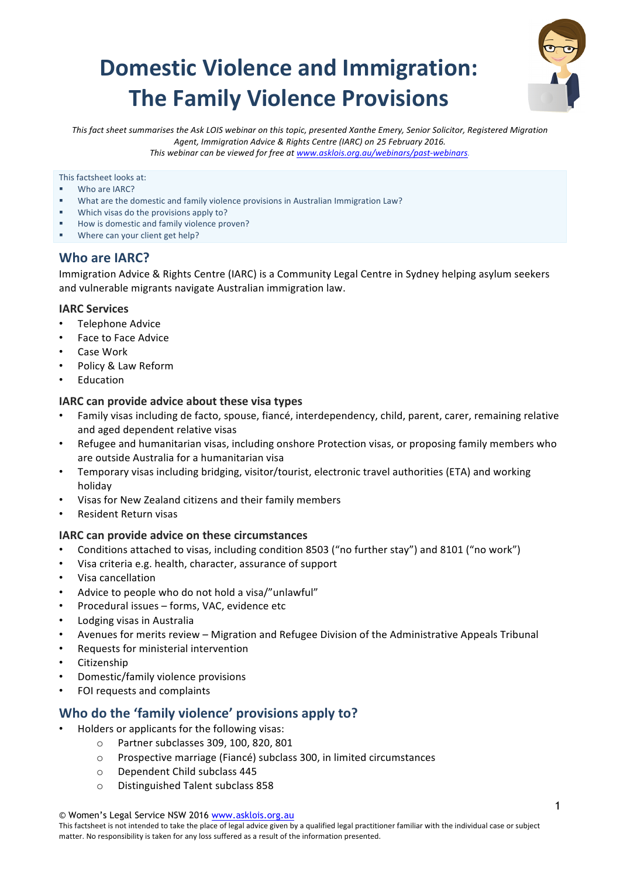# **Domestic Violence and Immigration: The Family Violence Provisions**



This fact sheet summarises the Ask LOIS webinar on this topic, presented Xanthe Emery, Senior Solicitor, Registered Migration Agent, Immigration Advice & Rights Centre (IARC) on 25 February 2016. *This* webinar can be viewed for free at www.asklois.org.au/webinars/past-webinars.

This factsheet looks at:

- Who are IARC?
- What are the domestic and family violence provisions in Australian Immigration Law?
- Which visas do the provisions apply to?
- How is domestic and family violence proven?
- **■** Where can your client get help?

### **Who are IARC?**

Immigration Advice & Rights Centre (IARC) is a Community Legal Centre in Sydney helping asylum seekers and vulnerable migrants navigate Australian immigration law.

### **IARC Services**

- Telephone Advice
- Face to Face Advice
- Case Work
- Policy & Law Reform
- **Education**

### **IARC** can provide advice about these visa types

- Family visas including de facto, spouse, fiancé, interdependency, child, parent, carer, remaining relative and aged dependent relative visas
- Refugee and humanitarian visas, including onshore Protection visas, or proposing family members who are outside Australia for a humanitarian visa
- Temporary visas including bridging, visitor/tourist, electronic travel authorities (ETA) and working holiday
- Visas for New Zealand citizens and their family members
- Resident Return visas

### **IARC** can provide advice on these circumstances

- Conditions attached to visas, including condition 8503 ("no further stay") and 8101 ("no work")
- Visa criteria e.g. health, character, assurance of support
- Visa cancellation
- Advice to people who do not hold a visa/"unlawful"
- Procedural issues forms, VAC, evidence etc
- Lodging visas in Australia
- Avenues for merits review Migration and Refugee Division of the Administrative Appeals Tribunal
- Requests for ministerial intervention
- Citizenship
- Domestic/family violence provisions
- FOI requests and complaints

### **Who do the 'family violence' provisions apply to?**

- Holders or applicants for the following visas:
	- o Partner subclasses 309, 100, 820, 801
	- $\circ$  Prospective marriage (Fiancé) subclass 300, in limited circumstances
	- o Dependent Child subclass 445
	- o Distinguished Talent subclass 858

<sup>©</sup> Women's Legal Service NSW 2016 www.asklois.org.au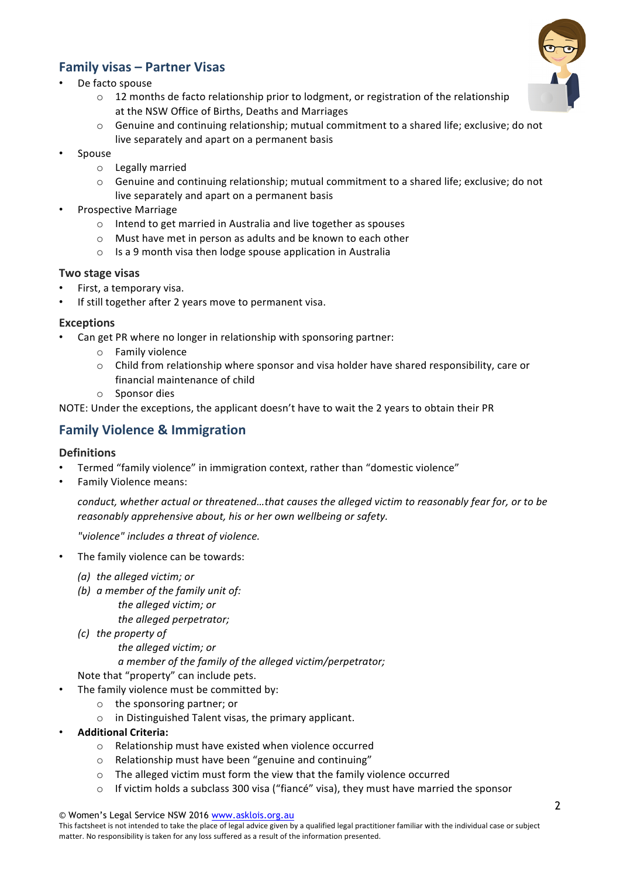# **Family visas – Partner Visas**

- De facto spouse
	- o 12 months de facto relationship prior to lodgment, or registration of the relationship at the NSW Office of Births, Deaths and Marriages
	- Genuine and continuing relationship; mutual commitment to a shared life; exclusive; do not live separately and apart on a permanent basis
- **Spouse** 
	- o Legally married
	- $\circ$  Genuine and continuing relationship; mutual commitment to a shared life; exclusive; do not live separately and apart on a permanent basis
- Prospective Marriage
	- $\circ$  Intend to get married in Australia and live together as spouses
	- $\circ$  Must have met in person as adults and be known to each other
	- $\circ$  Is a 9 month visa then lodge spouse application in Australia

### **Two stage visas**

- First, a temporary visa.
- If still together after 2 years move to permanent visa.

### **Exceptions**

- Can get PR where no longer in relationship with sponsoring partner:
	- o Family violence
	- $\circ$  Child from relationship where sponsor and visa holder have shared responsibility, care or financial maintenance of child
	- o Sponsor dies

NOTE: Under the exceptions, the applicant doesn't have to wait the 2 years to obtain their PR

# **Family Violence & Immigration**

### **Definitions**

- Termed "family violence" in immigration context, rather than "domestic violence"
- Family Violence means:

*conduct, whether actual or threatened...that causes the alleged victim to reasonably fear for, or to be reasonably apprehensive about, his or her own wellbeing or safety.* 

*"violence" includes a threat of violence.* 

- The family violence can be towards:
	- *(a) the alleged victim: or*
	- *(b) a* member of the family unit of: *the alleged victim; or*
		- the alleged perpetrator;
	- *(c)* the property of

*the alleged victim; or*

a member of the family of the alleged victim/perpetrator;

Note that "property" can include pets.

- The family violence must be committed by:
	- $\circ$  the sponsoring partner; or
	- $\circ$  in Distinguished Talent visas, the primary applicant.
- **Additional Criteria:**
	- $\circ$  Relationship must have existed when violence occurred
	- $\circ$  Relationship must have been "genuine and continuing"
	- $\circ$  The alleged victim must form the view that the family violence occurred
	- $\circ$  If victim holds a subclass 300 visa ("fiancé" visa), they must have married the sponsor

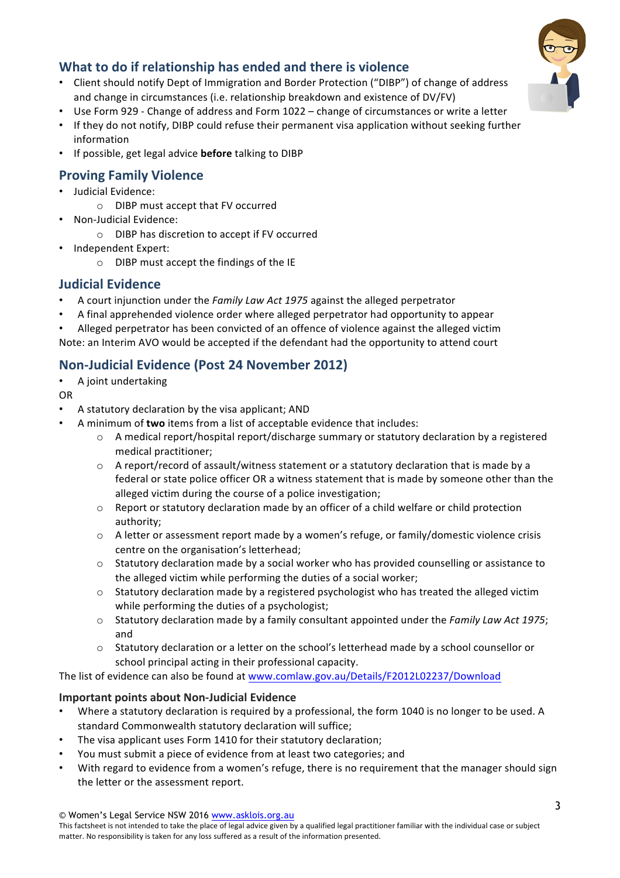# **What to do if relationship has ended and there is violence**

- Client should notify Dept of Immigration and Border Protection ("DIBP") of change of address and change in circumstances (i.e. relationship breakdown and existence of DV/FV)
- Use Form 929 Change of address and Form 1022 change of circumstances or write a letter
- If they do not notify, DIBP could refuse their permanent visa application without seeking further information
- If possible, get legal advice **before** talking to DIBP

# **Proving Family Violence**

- Judicial Evidence:
	- $\circ$  DIBP must accept that FV occurred
- Non-Judicial Evidence:
	- o DIBP has discretion to accept if FV occurred
- Independent Expert:
	- o DIBP must accept the findings of the IE

# **Judicial Evidence**

- A court injunction under the *Family Law Act 1975* against the alleged perpetrator
- A final apprehended violence order where alleged perpetrator had opportunity to appear
- Alleged perpetrator has been convicted of an offence of violence against the alleged victim Note: an Interim AVO would be accepted if the defendant had the opportunity to attend court

# **Non-Judicial Evidence (Post 24 November 2012)**

- A joint undertaking
- OR
- A statutory declaration by the visa applicant; AND
- A minimum of **two** items from a list of acceptable evidence that includes:
	- $\circ$  A medical report/hospital report/discharge summary or statutory declaration by a registered medical practitioner;
	- $\circ$  A report/record of assault/witness statement or a statutory declaration that is made by a federal or state police officer OR a witness statement that is made by someone other than the alleged victim during the course of a police investigation;
	- $\circ$  Report or statutory declaration made by an officer of a child welfare or child protection authority;
	- $\circ$  A letter or assessment report made by a women's refuge, or family/domestic violence crisis centre on the organisation's letterhead;
	- $\circ$  Statutory declaration made by a social worker who has provided counselling or assistance to the alleged victim while performing the duties of a social worker;
	- $\circ$  Statutory declaration made by a registered psychologist who has treated the alleged victim while performing the duties of a psychologist;
	- o Statutory declaration made by a family consultant appointed under the *Family Law Act 1975*; and
	- $\circ$  Statutory declaration or a letter on the school's letterhead made by a school counsellor or school principal acting in their professional capacity.

The list of evidence can also be found at www.comlaw.gov.au/Details/F2012L02237/Download

### **Important points about Non-Judicial Evidence**

- Where a statutory declaration is required by a professional, the form 1040 is no longer to be used. A standard Commonwealth statutory declaration will suffice;
- The visa applicant uses Form 1410 for their statutory declaration;
- You must submit a piece of evidence from at least two categories; and
- With regard to evidence from a women's refuge, there is no requirement that the manager should sign the letter or the assessment report.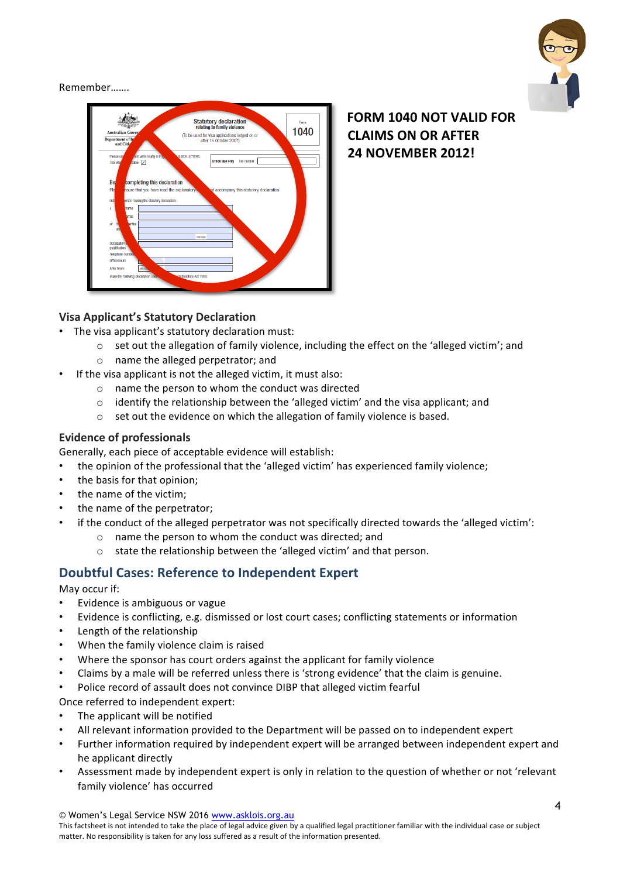

Remember…….



**FORM 1040 NOT VALID FOR CLAIMS ON OR AFTER 24 NOVEMBER 2012!**

### **Visa Applicant's Statutory Declaration**

- The visa applicant's statutory declaration must:
	- $\circ$  set out the allegation of family violence, including the effect on the 'alleged victim'; and
	- $\circ$  name the alleged perpetrator; and
- If the visa applicant is not the alleged victim, it must also:
	- $\circ$  name the person to whom the conduct was directed
	- $\circ$  identify the relationship between the 'alleged victim' and the visa applicant; and
	- $\circ$  set out the evidence on which the allegation of family violence is based.

### **Evidence of professionals**

Generally, each piece of acceptable evidence will establish:

- the opinion of the professional that the 'alleged victim' has experienced family violence;
- the basis for that opinion;
- the name of the victim;
- the name of the perpetrator;
- if the conduct of the alleged perpetrator was not specifically directed towards the 'alleged victim':
	- $\circ$  name the person to whom the conduct was directed; and
	- $\circ$  state the relationship between the 'alleged victim' and that person.

# **Doubtful Cases: Reference to Independent Expert**

May occur if:

- Evidence is ambiguous or vague
- Evidence is conflicting, e.g. dismissed or lost court cases; conflicting statements or information
- Length of the relationship
- When the family violence claim is raised
- Where the sponsor has court orders against the applicant for family violence
- Claims by a male will be referred unless there is 'strong evidence' that the claim is genuine.
- Police record of assault does not convince DIBP that alleged victim fearful

Once referred to independent expert:

- The applicant will be notified
- All relevant information provided to the Department will be passed on to independent expert
- Further information required by independent expert will be arranged between independent expert and he applicant directly
- Assessment made by independent expert is only in relation to the question of whether or not 'relevant family violence' has occurred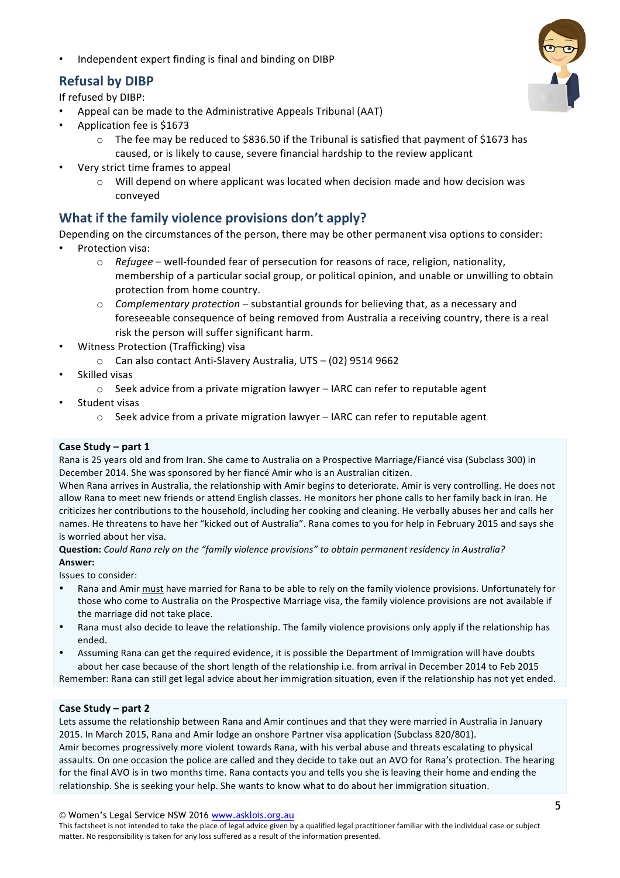Independent expert finding is final and binding on DIBP

# **Refusal by DIBP**

If refused by DIBP:

- Appeal can be made to the Administrative Appeals Tribunal (AAT)
- Application fee is \$1673
	- $\circ$  The fee may be reduced to \$836.50 if the Tribunal is satisfied that payment of \$1673 has caused, or is likely to cause, severe financial hardship to the review applicant
- Very strict time frames to appeal
	- $\circ$  Will depend on where applicant was located when decision made and how decision was conveyed

# **What if the family violence provisions don't apply?**

Depending on the circumstances of the person, there may be other permanent visa options to consider:

- Protection visa:
	- o *Refugee* well-founded fear of persecution for reasons of race, religion, nationality, membership of a particular social group, or political opinion, and unable or unwilling to obtain protection from home country.
	- $\circ$  *Complementary protection* substantial grounds for believing that, as a necessary and foreseeable consequence of being removed from Australia a receiving country, there is a real risk the person will suffer significant harm.
- Witness Protection (Trafficking) visa
	- o Can also contact Anti-Slavery Australia, UTS (02) 9514 9662
- Skilled visas
	- $\circ$  Seek advice from a private migration lawyer IARC can refer to reputable agent
- Student visas
	- $\circ$  Seek advice from a private migration lawyer IARC can refer to reputable agent

### **Case Study – part 1**

Rana is 25 years old and from Iran. She came to Australia on a Prospective Marriage/Fiancé visa (Subclass 300) in December 2014. She was sponsored by her fiancé Amir who is an Australian citizen.

When Rana arrives in Australia, the relationship with Amir begins to deteriorate. Amir is very controlling. He does not allow Rana to meet new friends or attend English classes. He monitors her phone calls to her family back in Iran. He criticizes her contributions to the household, including her cooking and cleaning. He verbally abuses her and calls her names. He threatens to have her "kicked out of Australia". Rana comes to you for help in February 2015 and says she is worried about her visa.

**Question:** Could Rana rely on the "family violence provisions" to obtain permanent residency in Australia? **Answer:**

Issues to consider:

- Rana and Amir must have married for Rana to be able to rely on the family violence provisions. Unfortunately for those who come to Australia on the Prospective Marriage visa, the family violence provisions are not available if the marriage did not take place.
- Rana must also decide to leave the relationship. The family violence provisions only apply if the relationship has ended.
- Assuming Rana can get the required evidence, it is possible the Department of Immigration will have doubts about her case because of the short length of the relationship i.e. from arrival in December 2014 to Feb 2015

Remember: Rana can still get legal advice about her immigration situation, even if the relationship has not yet ended.

### **Case Study – part 2**

Lets assume the relationship between Rana and Amir continues and that they were married in Australia in January 2015. In March 2015, Rana and Amir lodge an onshore Partner visa application (Subclass 820/801). Amir becomes progressively more violent towards Rana, with his verbal abuse and threats escalating to physical assaults. On one occasion the police are called and they decide to take out an AVO for Rana's protection. The hearing for the final AVO is in two months time. Rana contacts you and tells you she is leaving their home and ending the relationship. She is seeking your help. She wants to know what to do about her immigration situation.

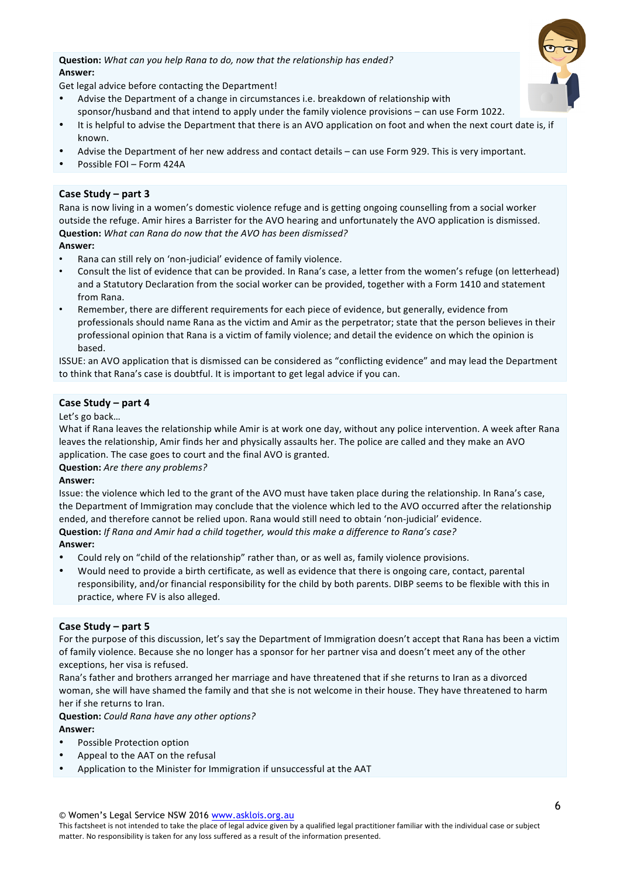**Question:** What can you help Rana to do, now that the relationship has ended? **Answer:**



Get legal advice before contacting the Department!

- Advise the Department of a change in circumstances i.e. breakdown of relationship with sponsor/husband and that intend to apply under the family violence provisions – can use Form 1022.
- It is helpful to advise the Department that there is an AVO application on foot and when the next court date is, if known.
- Advise the Department of her new address and contact details can use Form 929. This is very important.
- Possible FOI Form 424A

#### **Case Study – part 3**

Rana is now living in a women's domestic violence refuge and is getting ongoing counselling from a social worker outside the refuge. Amir hires a Barrister for the AVO hearing and unfortunately the AVO application is dismissed. **Question:** *What can Rana do now that the AVO has been dismissed?* 

#### **Answer:**

- Rana can still rely on 'non-judicial' evidence of family violence.
- Consult the list of evidence that can be provided. In Rana's case, a letter from the women's refuge (on letterhead) and a Statutory Declaration from the social worker can be provided, together with a Form 1410 and statement from Rana.
- Remember, there are different requirements for each piece of evidence, but generally, evidence from professionals should name Rana as the victim and Amir as the perpetrator; state that the person believes in their professional opinion that Rana is a victim of family violence; and detail the evidence on which the opinion is based.

ISSUE: an AVO application that is dismissed can be considered as "conflicting evidence" and may lead the Department to think that Rana's case is doubtful. It is important to get legal advice if you can.

#### **Case Study – part 4**

#### Let's go back...

What if Rana leaves the relationship while Amir is at work one day, without any police intervention. A week after Rana leaves the relationship, Amir finds her and physically assaults her. The police are called and they make an AVO application. The case goes to court and the final AVO is granted.

#### **Question:** Are there any problems?

#### **Answer:**

Issue: the violence which led to the grant of the AVO must have taken place during the relationship. In Rana's case, the Department of Immigration may conclude that the violence which led to the AVO occurred after the relationship ended, and therefore cannot be relied upon. Rana would still need to obtain 'non-judicial' evidence. **Question:** If Rana and Amir had a child together, would this make a difference to Rana's case? **Answer:**

- Could rely on "child of the relationship" rather than, or as well as, family violence provisions.
- Would need to provide a birth certificate, as well as evidence that there is ongoing care, contact, parental responsibility, and/or financial responsibility for the child by both parents. DIBP seems to be flexible with this in practice, where FV is also alleged.

#### **Case Study – part 5**

For the purpose of this discussion, let's say the Department of Immigration doesn't accept that Rana has been a victim of family violence. Because she no longer has a sponsor for her partner visa and doesn't meet any of the other exceptions, her visa is refused.

Rana's father and brothers arranged her marriage and have threatened that if she returns to Iran as a divorced woman, she will have shamed the family and that she is not welcome in their house. They have threatened to harm her if she returns to Iran

#### **Question:** Could Rana have any other options? **Answer:**

- Possible Protection option
- Appeal to the AAT on the refusal
- Application to the Minister for Immigration if unsuccessful at the AAT